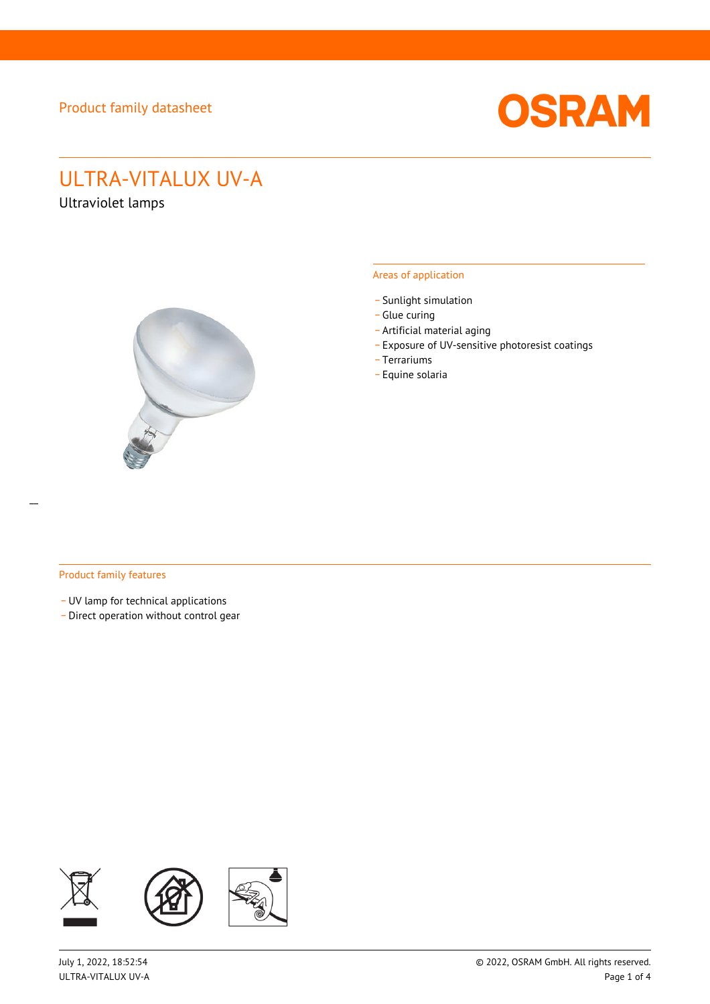

# ULTRA-VITALUX UV-A

Ultraviolet lamps



#### Areas of application

- Sunlight simulation
- \_ Glue curing
- \_ Artificial material aging
- \_ Exposure of UV-sensitive photoresist coatings
- \_ Terrariums
- \_ Equine solaria

#### Product family features

\_ UV lamp for technical applications

\_ Direct operation without control gear

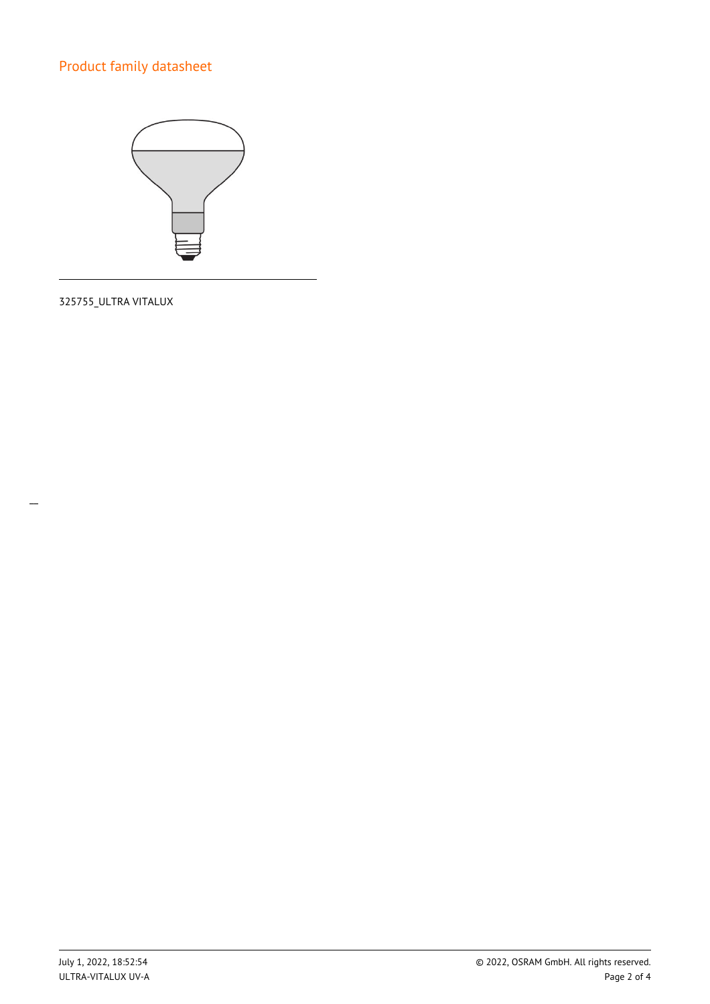

325755\_ULTRA VITALUX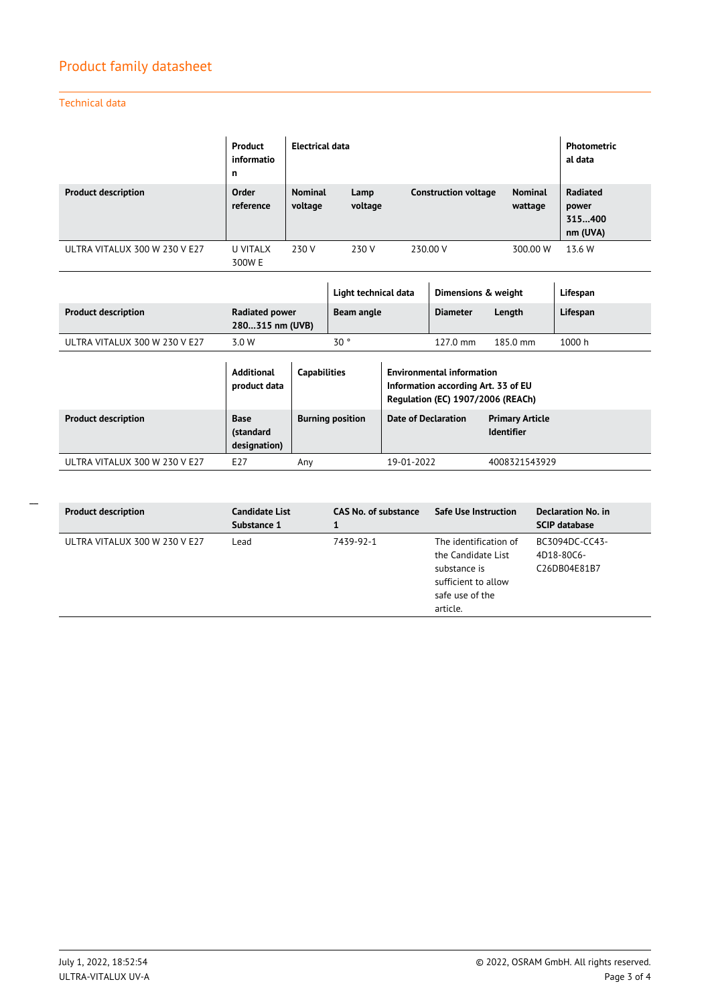## Technical data

 $\overline{a}$ 

|                               | Product<br>informatio<br>n | Electrical data           | <b>Photometric</b><br>al data |                             |                           |                                         |
|-------------------------------|----------------------------|---------------------------|-------------------------------|-----------------------------|---------------------------|-----------------------------------------|
| <b>Product description</b>    | Order<br>reference         | <b>Nominal</b><br>voltage | Lamp<br>voltage               | <b>Construction voltage</b> | <b>Nominal</b><br>wattage | Radiated<br>power<br>315400<br>nm (UVA) |
| ULTRA VITALUX 300 W 230 V E27 | U VITALX<br>300W E         | 230 V                     | 230 V                         | 230.00 V                    | 300.00 W                  | 13.6 W                                  |

|                               |                                          |                     | Light technical data    |                            | Dimensions & weight                                                                                          |                                             | Lifespan |
|-------------------------------|------------------------------------------|---------------------|-------------------------|----------------------------|--------------------------------------------------------------------------------------------------------------|---------------------------------------------|----------|
| <b>Product description</b>    | <b>Radiated power</b><br>280315 nm (UVB) |                     | Beam angle              |                            | <b>Diameter</b>                                                                                              | Length                                      | Lifespan |
| ULTRA VITALUX 300 W 230 V E27 | 3.0 W                                    |                     | 30 <sup>o</sup>         |                            | $127.0 \text{ mm}$                                                                                           | $185.0 \text{ mm}$                          | 1000h    |
|                               | <b>Additional</b><br>product data        | <b>Capabilities</b> |                         |                            | <b>Environmental information</b><br>Information according Art. 33 of EU<br>Regulation (EC) 1907/2006 (REACh) |                                             |          |
| <b>Product description</b>    | Base<br>(standard<br>designation)        |                     | <b>Burning position</b> | <b>Date of Declaration</b> |                                                                                                              | <b>Primary Article</b><br><b>Identifier</b> |          |
| ULTRA VITALUX 300 W 230 V E27 | E <sub>27</sub>                          | Any                 |                         | 19-01-2022                 |                                                                                                              | 4008321543929                               |          |

| <b>Product description</b>    | Candidate List<br>Substance 1 | <b>CAS No. of substance</b> | Safe Use Instruction                                                                                              | Declaration No. in<br><b>SCIP database</b>   |
|-------------------------------|-------------------------------|-----------------------------|-------------------------------------------------------------------------------------------------------------------|----------------------------------------------|
| ULTRA VITALUX 300 W 230 V E27 | Lead                          | 7439-92-1                   | The identification of<br>the Candidate List<br>substance is<br>sufficient to allow<br>safe use of the<br>article. | BC3094DC-CC43-<br>4D18-80C6-<br>C26DB04E81B7 |